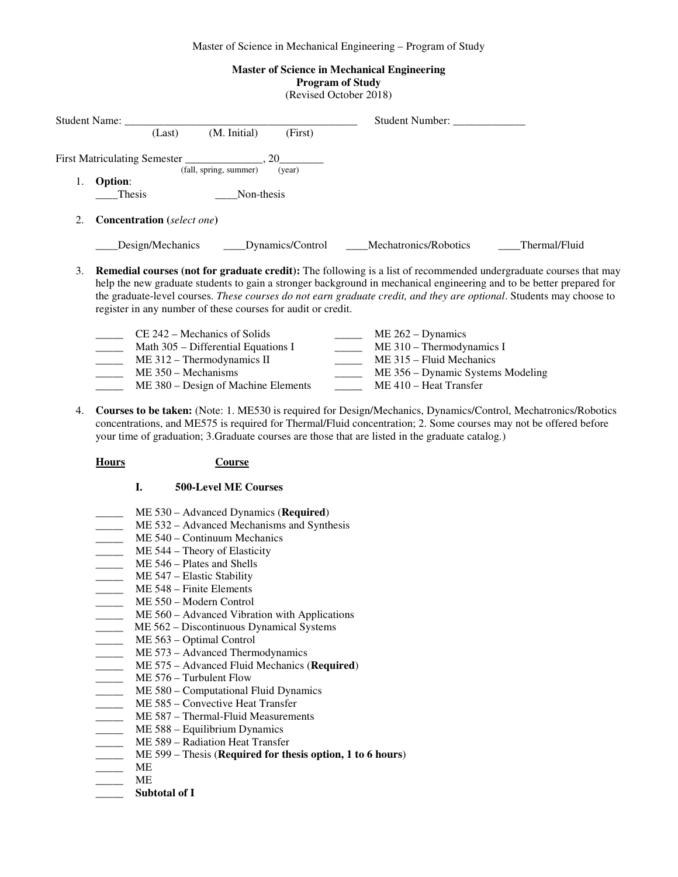Master of Science in Mechanical Engineering – Program of Study

# **Master of Science in Mechanical Engineering**

**Program of Study** 

| (Revised October 2018) |  |
|------------------------|--|
|------------------------|--|

| <b>Student Name:</b> |                                        | Student Number:       |               |
|----------------------|----------------------------------------|-----------------------|---------------|
|                      | (M. Initial)<br>(First)<br>(Last)      |                       |               |
|                      | (fall, spring, summer)<br>(year)       |                       |               |
|                      | <b>Option:</b><br>Thesis<br>Non-thesis |                       |               |
| 2.                   | <b>Concentration</b> (select one)      |                       |               |
|                      | Design/Mechanics<br>Dynamics/Control   | Mechatronics/Robotics | Thermal/Fluid |
|                      |                                        |                       |               |

3. **Remedial courses (not for graduate credit):** The following is a list of recommended undergraduate courses that may help the new graduate students to gain a stronger background in mechanical engineering and to be better prepared for the graduate-level courses. *These courses do not earn graduate credit, and they are optional*. Students may choose to register in any number of these courses for audit or credit.

| $CE$ 242 – Mechanics of Solids      | $ME 262 - Dynamics$               |
|-------------------------------------|-----------------------------------|
| Math 305 – Differential Equations I | $ME 310 - Thermodynamics I$       |
| $ME 312 - Thermodynamics II$        | $ME$ 315 – Fluid Mechanics        |
| $ME 350 - Mechanisms$               | ME 356 – Dynamic Systems Modeling |
| ME 380 – Design of Machine Elements | $ME 410 - Heat Transfer$          |

4. **Courses to be taken:** (Note: 1. ME530 is required for Design/Mechanics, Dynamics/Control, Mechatronics/Robotics concentrations, and ME575 is required for Thermal/Fluid concentration; 2. Some courses may not be offered before your time of graduation; 3.Graduate courses are those that are listed in the graduate catalog*.*)

## **Hours Course**

### **I. 500-Level ME Courses**

- \_\_\_\_\_ ME 530 Advanced Dynamics (**Required**)
- ME 532 Advanced Mechanisms and Synthesis
- ME 540 Continuum Mechanics
- ME 544 Theory of Elasticity
- ME 546 Plates and Shells
- ME 547 Elastic Stability
- ME 548 Finite Elements
- ME 550 Modern Control
- **ME 560** Advanced Vibration with Applications
- \_\_\_\_\_ ME 562 Discontinuous Dynamical Systems
- \_\_\_\_\_ ME 563 Optimal Control
- \_\_\_\_\_\_ ME 573 Advanced Thermodynamics
- \_\_\_\_\_ ME 575 Advanced Fluid Mechanics (**Required**)
- ME 576 Turbulent Flow
- \_\_\_\_\_ ME 580 Computational Fluid Dynamics
- ME 585 Convective Heat Transfer
- ME 587 Thermal-Fluid Measurements
- ME 588 Equilibrium Dynamics
- ME 589 Radiation Heat Transfer
- \_\_\_\_\_ ME 599 Thesis (**Required for thesis option, 1 to 6 hours**)
- $\frac{1}{\sqrt{1-\frac{1}{2}}}$  ME
- \_\_\_\_\_ ME
- **\_\_\_\_\_ Subtotal of I**